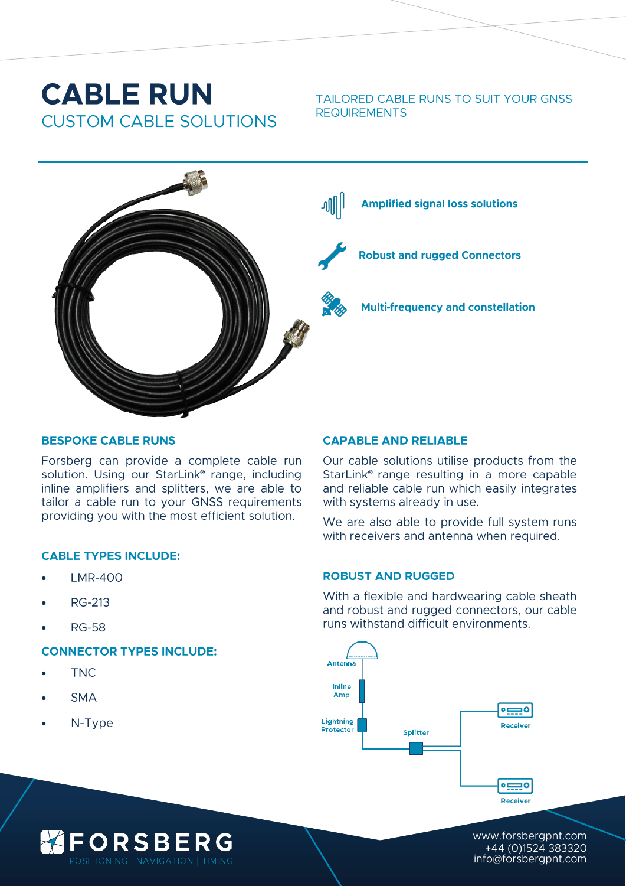## **CABLE RUN CUSTOM CABLE SOLUTIONS**

TAILORED CABLE RUNS TO SUIT YOUR GNSS **REQUIREMENTS** 



#### **BESPOKE CABLE RUNS**

Forsberg can provide a complete cable run solution. Using our StarLink® range, including inline amplifiers and splitters, we are able to tailor a cable run to your GNSS requirements providing you with the most efficient solution.

#### **CABLE TYPES INCLUDE:**

- **LMR-400**
- **RG-213**
- **RG-58**

#### **CONNECTOR TYPES INCLUDE:**

**FORSBERG** 

- **TNC**
- **SMA**
- $N-Type$

#### **CAPABLE AND RELIABLE**

Our cable solutions utilise products from the StarLink<sup>®</sup> range resulting in a more capable and reliable cable run which easily integrates with systems already in use.

We are also able to provide full system runs with receivers and antenna when required.

#### **ROBUST AND RUGGED**

With a flexible and hardwearing cable sheath and robust and rugged connectors, our cable runs withstand difficult environments.



www.forsbergpnt.com +44 (0)1524 383320 info@forsbergpnt.com